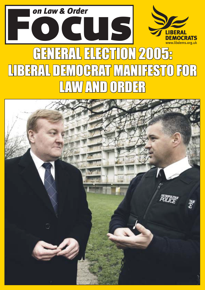

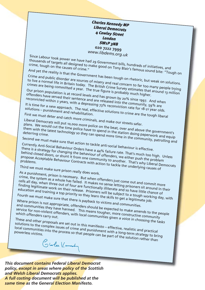*Charles Kennedy MP Liberal Democrats 4 Cowley Street London SW1P 3NB* **020 7222 7999** *www.libdems.org.uk*

Since Labour took power we have had 29 Government bills, hundreds of initiatives, and<br>thousands of targets all designed to make good on Tony Blair's famous sound bit.<br>And yot the causes of crime." thousands of targets all designed to make good on Tony Blair's famous sound bite: *i*Tough on<br>crime, tough on the causes of crime."

And yet the reality is that the Government has been tough on rhetoric, but weak on solutions. Crime and public disorder are sources of misery and real concern to far too many people trying<br>to live a normal life in Britain today. The British Crime Survey estimates that around specifying<br>Crimes are being committed a

to live a normal life in Britain today. The British Crime Survey estimates that around 13 million Our prison population is at record levels and has grown by 20% since 1997. And when crimes are being committed a year. The true figure is probably much higher.

offenders have served their sentence and are released into the community, 59% are<br>reconvicted within 2 years, with a depressing 73% reconviction rate for 18-21 year old<br>It is time for a new approach. The real, effective so reconvicted within 2 years, with a depressing 73% reconviction rate for 18-21 year olds.

It is time for a new approach. The real, effective solutions rate for 18-21 year olds.<br>Solutions – punishment and rehabilitation.<br>First we must deter and catch ... First we must deter and catch more criminals, and make our streets safer.

Liberal Democrats will put 10,000 more police on the beat, over and above the government's plans. We would cut the time police police on the beat, over and above the government's<br>them with the latest technology so they can spend in the station doing paperwork and equip<br>deterring crime.<br>lecond we them with the latest technology so they can spend more time in the community, patrolling and deterring crime. Second we must make sure that action to tackle anti-social behaviour is effective.

Currently Anti-Social Behaviour Orders have a 44% failure rate. That's much too high. Unless there is a strategy for changing the behaviour of offenders, we either push the problem behind closed doors, or shunt it from one community to another. That's much too high. Unless<br>propose Acceptable Behaviour Contracts with action to another. That's why Liberal Democrats<br>problems. propose Acceptable Behaviour Contracts with action to tackle the underlying causes of problems.

Third we must make sure prison really does work.

As a punishment, prison is necessary. But when offenders just come out and commit more crime, the system as a whole has failed. It makes no sense letting prisoners sit around in their cells all day, when three out of four are functionally illiterate and so have little chance of tens an day, when three out of four are functionally interace and so have intire charite of finding legitimate work on their release. Prisoners will be subject to a tough working day, with education and training a top priority so they learn the skills to get a legitimate job.

Fourth we must make sure that there is payback to victims and communities.

Where prison is not appropriate, offenders should be expected to make amends to the people and communities they have harmed. This means tougher, more communities.<br>
Service for non-violent offenders, with local communities are constructive community<br>
Which offenders carry out.<br>
These service for non-violent offenders, with local communities given a voice in choosing the tasks

These and other proposals are set out in this manifesto – effective, realistic and practical<br>solutions to the complex issues of crime and punishment with a long-term strategy to bri<br>powerless victime solutions to the complex issues of crime and punishment with a long-term strategy to bring<br>local communities into the process so that people can be part of the solution and practical<br>powerless victims. local communities into the process so that people can be part of the solution rather than<br>powerless victims.<br>Colorles ((enror)

*This document contains Federal Liberal Democrat policy, except in areas where policy of the Scottish and Welsh Liberal Democrats applies. A full costing document will be published at the same time as the General Election Manifesto.*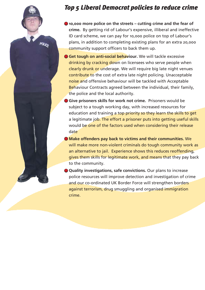### *Top 5 Liberal Democrat policies to reduce crime*

 $\bullet$  **10,000 more police on the streets – cutting crime and the fear of crime.** By getting rid of Labourís expensive, illiberal and ineffective ID card scheme, we can pay for 10,000 police on top of Labour's plans, in addition to completing existing plans for an extra 20,000 community support officers to back them up.

POLICE

● Get tough on anti-social behaviour. We will tackle excessive drinking by cracking down on licensees who serve people when clearly drunk or underage. We will require big late night venues contribute to the cost of extra late night policing. Unacceptable noise and offensive behaviour will be tackled with Acceptable Behaviour Contracts agreed between the individual, their family, the police and the local authority.

● **Give prisoners skills for work not crime.** Prisoners would be subject to a tough working day, with increased resources for education and training a top priority so they learn the skills to get a legitimate job. The effort a prisoner puts into getting useful skills would be one of the factors used when considering their release date

● **Make offenders pay back to victims and their communities.** We will make more non-violent criminals do tough community work as an alternative to jail. Experience shows this reduces reoffending, gives them skills for legitimate work, and means that they pay back to the community.

● **Quality investigations, safe convictions.** Our plans to increase police resources will improve detection and investigation of crime and our co-ordinated UK Border Force will strengthen borders against terrorism, drug smuggling and organised immigration crime.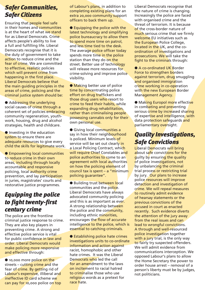# *Safer Communities, Safer Citizens*

Ensuring that people feel safe in their homes and communities is at the heart of what we stand for as Liberal Democrats. Crime affects people's ability to live a full and fulfilling life. Liberal Democrats recognise that it is the duty of government to take action to reduce crime and the fear of crime. We are committed to effective, realistic policies which will prevent crime from happening in the first place. Liberal Democrats believe that the main guiding principles in the areas of crime, policing and the criminal justice system should be:

● Addressing the underlying social causes of crime through a coherent set of policies embracing community regeneration, youthwork, housing, drug and alcohol strategies, health and childcare.

● Investing in the education system to ensure there are adequate resources to give every child the skills for legitimate work.

● Empowering local communities to reduce crime in their own areas, including through locally accountable and responsive policing, local authority crime prevention, and lay participation in juries, magistrates' courts and restorative justice programmes.

### *Equipping the police to fight twenty-first century crime*

The police are the frontline criminal justice response to crime. They are also key players in preventing crime. A strong and effective police service is vital for public confidence in law and order. Liberal Democrats would make policing more responsive and effective through:

● 10,000 more police on the streets  $-$  cutting crime and the fear of crime. By getting rid of Labour's expensive, illiberal and ineffective ID card scheme we can pay for 10,000 police on top of Labour's plans, in addition to completing existing plans for an extra 20,000 community support officers to back them up.

● Equipping the police with the latest technology and simplifying police bureaucracy to allow them to spend more time on patrol, and less time tied to the desk. The average police officer today spends more time in the police station than they do on the street. Better use of technology will release more resources for crime-solving and improve police visibility.

● Making better use of police time by concentrating police effort on drug traffickers and those drug users who resort to crime to feed their habits, while expanding drug rehabilitation, rather than criminalising people possessing cannabis only for their own personal use.

● Giving local communities a say in how their neighbourhood is policed. Minimum levels of service will be set out clearly in a Local Policing Contract, which will require Chief Constables and police authorities to come to an agreement with local authorities on how the policing element of council tax is spent  $-$  a "minimum" policing quarantee".

● Building trust between local communities and the police. Liberal Democrats have always advocated community policing and this is as important as ever. A strong relationship between the police and the community. including ethnic minorities, encourages the flow of accurate intelligence to the police, which is essential to catching criminals.

● Establishing police hate crimes investigations units to co-ordinate information and action against racist, homophobic and other hate crimes. It was the Liberal Democrats who led the call for an amendment to the laws on incitement to racial hatred to criminalise those who use religious words as a pretext for race hate.

Liberal Democrats recognise that the nature of crime is changing. Increasingly the police are faced with organised crime and the threat of terrorism. It is because of the cross-border nature of much serious crime that we firmly welcome EU initiatives such as the European Police College, located in the UK, and the coordination of investigations and prosecutions. We will take the fight to the criminals through:

● A co-ordinated UK Border Force to strengthen borders against terrorism, drug smuggling and organised immigration crime working in co-operation with the new European Border Management Agency.

● Making Europol more effective in combating and preventing serious crime by increased sharing of expertise and intelligence, with data protection safeguards and parliamentary oversight.

# *Quality Investigations, Safe Convictions*

Liberal Democrats will bring about safe convictions for the guilty by ensuring the quality of police investigations, not by unbalancing the criminal trial process or restricting trial by jury. Our plans to increase police resources will improve detection and investigation of crime. We will repeal measures to routinely admit evidence of hearsay statements or the previous convictions of the accused in court as enacted recently. Such evidence diverts the attention of the jury away from the real issues and can lead to wrongful convictions. A through and well-resourced police investigation together with a jury trial, is the only way to fairly try suspected offenders. We will admit evidence from communications interception. We opposed Labour's plans to allow the Home Secretary the power to order house arrest - removal of a person's liberty must be by judges, not politicians.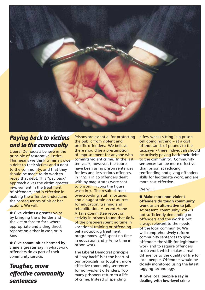

#### *Paying back to victims and to the community*

Liberal Democrats believe in the principle of restorative justice. This means we think criminals owe a debt to their victims and a debt to the community, and that they should be made to do work to repay that debt. This "pay back" approach gives the victim greater involvement in the treatment of offenders, and is effective in making the offender understand the consequences of his or her actions. We will:

● **Give victims a greater voice**  by bringing the offender and the victim face to face where appropriate and aiding direct reparation either in cash or in kind.

● **Give communities harmed by crime a greater say** in what work offenders do as part of their community service.

#### *Tougher, more effective community sentences*

Prisons are essential for protecting the public from violent and prolific offenders. We believe there should be a presumption of imprisonment for anyone who commits violent crime. In the last ten years, however, the courts have been using prison sentences for less and less serious offences. In 1992, 1 in 20 offenders dealt with by magistrates were sent to prison. In 2002 the figure was 1 in 7. The result: chronic overcrowding, staff shortages and a huge strain on resources for education, training and rehabilitation. A recent Home Affairs Committee report on activity in prisons found that 60% of the prisoners spent no time in vocational training or offending behaviour/drug treatment programmes, 47% spent no time in education and 31% no time in prison work.

The Liberal Democrat principle of "pay back" is at the heart of our proposals for tougher, more effective community sentences for non-violent offenders. Too many prisoners return to a life of crime. Instead of spending

a few weeks sitting in a prison  $cell$  doing nothing  $-$  at a cost of thousands of pounds to the taxpayer - these individuals should be actively paying back their debt to the community. Community sentences can be more effective than prison at reducing reoffending and giving offenders skills for legitimate work, and are more cost-effective.

#### We will:

● **Make more non-violent offenders do tough community work as an alternative to jail.**  At present, community work is not sufficiently demanding on offenders and the work is not always relevant to the needs of the local community. We will comprehensively reform community sentences to give offenders the skills for legitimate work and to require offenders to do work which makes a real difference to the quality of life for local people. Offenders would be closely monitored using the latest tagging technology.

● **Give local people a say in dealing with low-level crime**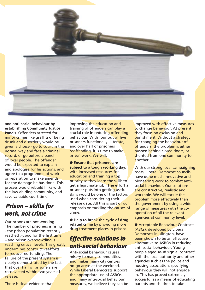

**and anti-social behaviour by establishing Community Justice Panels.** Offenders arrested for minor crimes like graffiti or being drunk and disorderly would be given a choice - go to court in the normal way and face a criminal record, or go before a panel of local people. The offender would be expected to explain and apologise for his actions, and agree to a programme of work or reparation to make amends for the damage he has done. This process would rebuild links with the law-abiding community, and save valuable court time.

#### **Prison – skills for** *work, not crime*

Our prisons are not working. The number of prisoners is rising - the prison population recently reached 75,000 for the first time - and prison overcrowding is reaching critical levels. This greatly undermines constructiveefforts to reduce reoffending. The failure of the present system is clearly demonstrated by the fact that over half of prisoners are reconvicted within two years of release.

There is clear evidence that

improving the education and training of offenders can play a crucial role in reducing offending behaviour. With four out of five prisoners functionally illiterate, and over half of prisoners reoffending, it is time to make prison work. We will:

● **Ensure that prisoners are subject to a tough working day,**  with increased resources for education and training a top priority so they learn the skills to get a legitimate job. The effort a prisoner puts into getting useful skills would be one of the factors used when considering their release date. All this is part of our emphasis on tackling the causes of crime.

● **Help to break the cycle of drugrelated crime** by providing more drug treatment places in prisons.

# *Effective solutions to anti-social behaviour*

Anti-social behaviour causes misery to many communities, and makes many city centres no-go areas at the weekend. While Liberal Democrats support the appropriate use of ASBOs and many anti-social behaviour measures, we believe they can be improved with effective measures to change behaviour. At present they focus on exclusion and punishment. Without a strategy for changing the behaviour of offenders, the problem is either pushed behind closed doors, or shunted from one community to another.

With our strong local campaigning roots, Liberal Democrat councils have done much innovative and pioneering work to combat antisocial behaviour. Our solutions are constructive, realistic and workable. We will tackle the problem more effectively than the government by using a wide range of measures with the cooperation of all the relevant agencies at community level:

● Acceptable Behaviour Contracts (ABCs), developed by Liberal Democrats in Islington, have been shown to be an effective alternative to ASBOs in reducing anti-social behaviour. Young people aged 10-18 sign a 'contract' with the local authority and other agencies such as the police and housing association, specifying behaviour they will not engage in. This has proved extremely successful as a means of educating parents and children to take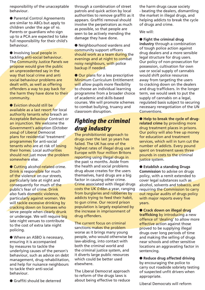responsibility of the unacceptable behaviour.

● Parental Control Agreements are similar to ABCs but apply to children under the age of 10. Parents or guardians who sign up to a PCA are expected to take full responsibility for their child's behaviour.

● Involving local people in tackling anti-social behaviour. The Community Justice Panels we propose would give the public an unprecedented say in the way that local crime and anti social behaviour problems are dealt with, as well as offering offenders a way to pay back for the harm they have done to their community.

● Eviction should still be available as a last resort for local authority tenants who breach an Acceptable Behaviour Contract or an injunction. We welcome the Government's adoption (October 2004) of Liberal Democrat plans for residential 'treatment' programmes for anti-social tenants who are at risk of losing their homes. Local authorities should not just move the problem somewhere else.

● Cutting alcohol-related crime. Drink is responsible for much of the violence on our streets, particularly late at night and consequently for much of the publicís fear of crime. Drink also fuels domestic violence, particularly against women. We will tackle excessive drinking by cracking down on licensees who serve people when clearly drunk or underage. We will require big late night venues to contribute to the cost of extra late night policing.

● Where an ASBO is necessary, ensuring it is accompanied by measures to tackle the underlying causes of the person's behaviour, such as advice on debt management, drug rehabilitation, and help for nuisance neighbours to tackle their anti-social behaviour.

through a combination of street patrols and quick action by local authorities to remove graffiti as it appears. Graffiti removal should involve the perpetrators as much as possible, so that people are seen to be actively mending the damage they have done.

● Neighbourhood wardens and community support officers should work as a team during the evenings and at night to combat noisy neighbours, with police backup if needed.

● Our plans for a less prescriptive Minimum Curriculum Entitlement will allow pupils more flexibility to choose an individual learning programme from a broader choice of academic and skills-based courses. We will promote schemes to combat bullying, truancy and classroom disruption.

#### *Fighting the criminal drug industry*

The prohibitionist approach to drugs over the last 30 years has failed. The UK has one of the highest rates of illegal drug use in Europe with four million Britons reporting using illegal drugs in the past 12 months. Aside from the health and social problems drug abuse creates for the users themselves, hard drugs are a big factor in causing other crime. Crime associated with illegal drugs costs the UK £16bn a year, ranging from burglaries and robberies by addicts trying to feed their habit, to gun crime. Our record prison population is largely explained by the increase in imprisonment of drug offenders.

The current focus on criminal sanctions makes the problem worse as it brings many young people, who would otherwise be law-abiding, into contact with both the criminal world and the criminal justice system, and it diverts large public resources which could be better used elsewhere.

The Liberal Democrat approach to reform of the drugs laws is about being effective to reduce the harm drugs cause society - beating the dealers, dismantling the market in illegal drugs, and helping addicts to break the cycle of drugs and crime.

We will:

● **Fight the criminal drug** 

**industry** through a combination of tough police action against drug dealers and a more sensible legal structure for drug users. Our policy of non-prosecution for possession, cultivation for own use or social supply of cannabis would shift police resources away from targeting the users to cracking down on the dealers and drug traffickers. In the longer term, we would seek to put the supply of cannabis on a legal, regulated basis subject to securing necessary renegotiation of the UN Conventions.

● **Help to break the cycle of drugrelated crime** by providing more drug treatment places in prisons. Our policy will also free up money for education and treatment services, which will in turn cut the number of addicts. Every pound spent on treatment saves three pounds in costs to the criminal justice system.

● **Establish a standing Drugs Commission** to advise on drugs policy, with a remit extended to cover legal substances such as alcohol, solvents and tobacco, and requiring the Commission to carry out regular audits of drugs policy with major reports every five years.

● **Crack down on illegal drug trafficking** by introducing a new offence of 'dealing' to allow more effective action against those proved to be supplying illegal drugs over long periods of time and making the selling of drugs near schools and other sensitive locations an aggravating factor in sentencing.

● **Reduce drug affected driving**  by encouraging the police to carry out roadside sobriety testing of suspected unfit drivers when appropriate.

Liberal Democrats will reform

● Graffiti should be deterred